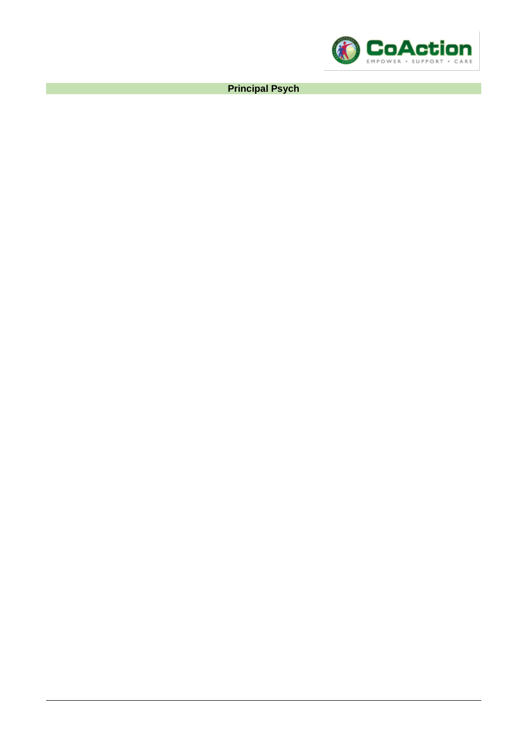

**Principal Psych**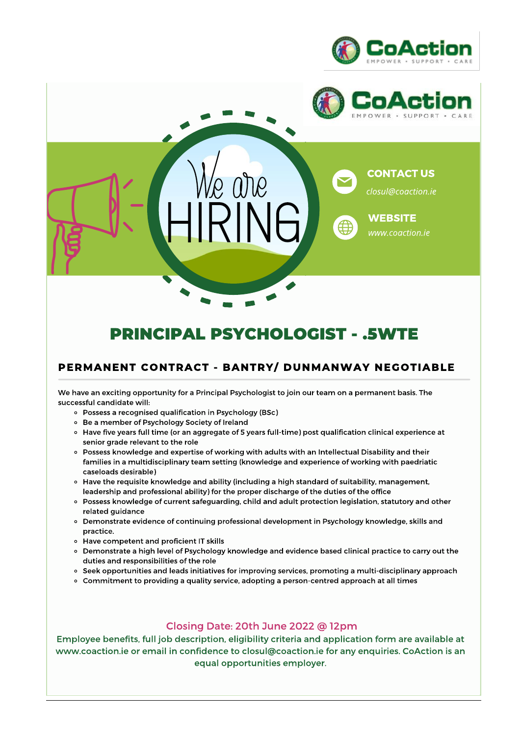





# **PRINCIPAL PSYCHOLOGIST - .5WTE**

# PERMANENT CONTRACT - BANTRY/ DUNMANWAY NEGOTIABLE

We have an exciting opportunity for a Principal Psychologist to join our team on a permanent basis. The successful candidate will:

- Possess a recognised qualification in Psychology (BSc)
- Be a member of Psychology Society of Ireland
- o Have five years full time (or an aggregate of 5 years full-time) post qualification clinical experience at senior grade relevant to the role
- o Possess knowledge and expertise of working with adults with an Intellectual Disability and their families in a multidisciplinary team setting (knowledge and experience of working with paedriatic caseloads desirable)
- ∘ Have the requisite knowledge and ability (including a high standard of suitability, management, leadership and professional ability) for the proper discharge of the duties of the office
- Possess knowledge of current safeguarding, child and adult protection legislation, statutory and other related guidance
- o Demonstrate evidence of continuing professional development in Psychology knowledge, skills and practice.
- Have competent and proficient IT skills
- o Demonstrate a high level of Psychology knowledge and evidence based clinical practice to carry out the duties and responsibilities of the role
- o Seek opportunities and leads initiatives for improving services, promoting a multi-disciplinary approach
- o Commitment to providing a quality service, adopting a person-centred approach at all times

## Closing Date: 20th June 2022 @ 12pm

Employee benefits, full job description, eligibility criteria and application form are available at www.coaction.ie or email in confidence to closul@coaction.ie for any enquiries. CoAction is an equal opportunities employer.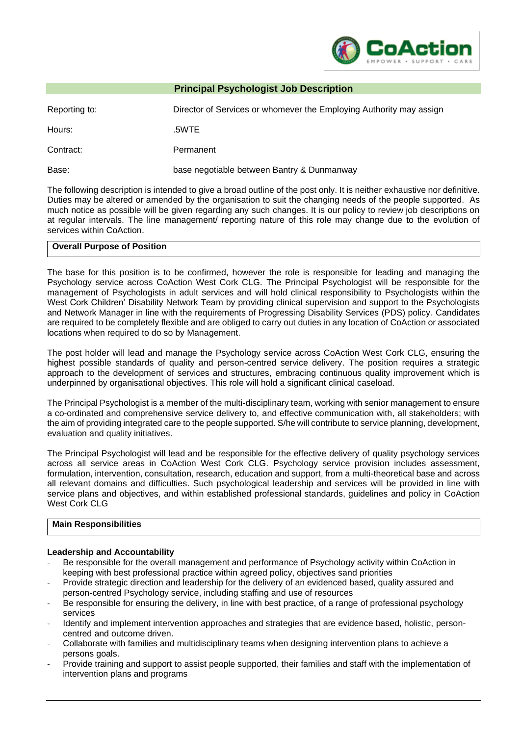

### **Principal Psychologist Job Description**

| Reporting to: | Director of Services or whomever the Employing Authority may assign |
|---------------|---------------------------------------------------------------------|
| Hours:        | .5WTE                                                               |
| Contract:     | Permanent                                                           |
| Base:         | base negotiable between Bantry & Dunmanway                          |

The following description is intended to give a broad outline of the post only. It is neither exhaustive nor definitive. Duties may be altered or amended by the organisation to suit the changing needs of the people supported. As much notice as possible will be given regarding any such changes. It is our policy to review job descriptions on at regular intervals. The line management/ reporting nature of this role may change due to the evolution of services within CoAction.

#### **Overall Purpose of Position**

The base for this position is to be confirmed, however the role is responsible for leading and managing the Psychology service across CoAction West Cork CLG. The Principal Psychologist will be responsible for the management of Psychologists in adult services and will hold clinical responsibility to Psychologists within the West Cork Children' Disability Network Team by providing clinical supervision and support to the Psychologists and Network Manager in line with the requirements of Progressing Disability Services (PDS) policy. Candidates are required to be completely flexible and are obliged to carry out duties in any location of CoAction or associated locations when required to do so by Management.

The post holder will lead and manage the Psychology service across CoAction West Cork CLG, ensuring the highest possible standards of quality and person-centred service delivery. The position requires a strategic approach to the development of services and structures, embracing continuous quality improvement which is underpinned by organisational objectives. This role will hold a significant clinical caseload.

The Principal Psychologist is a member of the multi-disciplinary team, working with senior management to ensure a co-ordinated and comprehensive service delivery to, and effective communication with, all stakeholders; with the aim of providing integrated care to the people supported. S/he will contribute to service planning, development, evaluation and quality initiatives.

The Principal Psychologist will lead and be responsible for the effective delivery of quality psychology services across all service areas in CoAction West Cork CLG. Psychology service provision includes assessment, formulation, intervention, consultation, research, education and support, from a multi-theoretical base and across all relevant domains and difficulties. Such psychological leadership and services will be provided in line with service plans and objectives, and within established professional standards, guidelines and policy in CoAction West Cork CLG

#### **Main Responsibilities**

#### **Leadership and Accountability**

- Be responsible for the overall management and performance of Psychology activity within CoAction in keeping with best professional practice within agreed policy, objectives sand priorities
- Provide strategic direction and leadership for the delivery of an evidenced based, quality assured and person-centred Psychology service, including staffing and use of resources
- Be responsible for ensuring the delivery, in line with best practice, of a range of professional psychology services
- Identify and implement intervention approaches and strategies that are evidence based, holistic, personcentred and outcome driven.
- Collaborate with families and multidisciplinary teams when designing intervention plans to achieve a persons goals.
- Provide training and support to assist people supported, their families and staff with the implementation of intervention plans and programs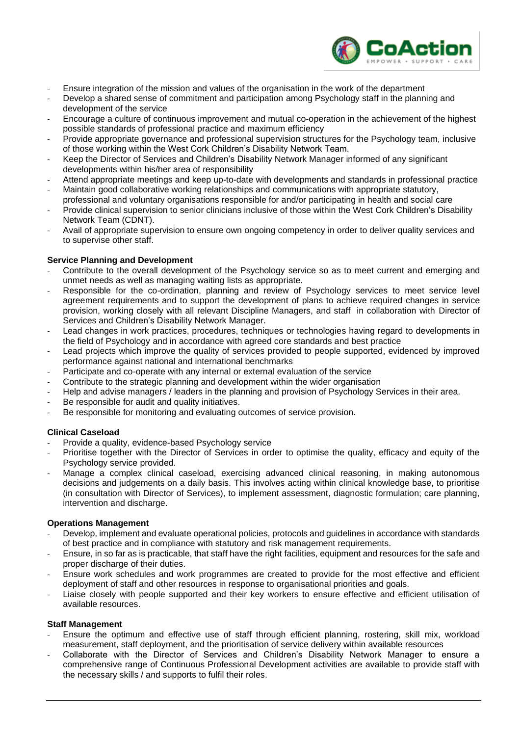

- Ensure integration of the mission and values of the organisation in the work of the department
- Develop a shared sense of commitment and participation among Psychology staff in the planning and development of the service
- Encourage a culture of continuous improvement and mutual co-operation in the achievement of the highest possible standards of professional practice and maximum efficiency
- Provide appropriate governance and professional supervision structures for the Psychology team, inclusive of those working within the West Cork Children's Disability Network Team.
- Keep the Director of Services and Children's Disability Network Manager informed of any significant developments within his/her area of responsibility
- Attend appropriate meetings and keep up-to-date with developments and standards in professional practice
- Maintain good collaborative working relationships and communications with appropriate statutory, professional and voluntary organisations responsible for and/or participating in health and social care
- Provide clinical supervision to senior clinicians inclusive of those within the West Cork Children's Disability Network Team (CDNT).
- Avail of appropriate supervision to ensure own ongoing competency in order to deliver quality services and to supervise other staff.

## **Service Planning and Development**

- Contribute to the overall development of the Psychology service so as to meet current and emerging and unmet needs as well as managing waiting lists as appropriate.
- Responsible for the co-ordination, planning and review of Psychology services to meet service level agreement requirements and to support the development of plans to achieve required changes in service provision, working closely with all relevant Discipline Managers, and staff in collaboration with Director of Services and Children's Disability Network Manager.
- Lead changes in work practices, procedures, techniques or technologies having regard to developments in the field of Psychology and in accordance with agreed core standards and best practice
- Lead projects which improve the quality of services provided to people supported, evidenced by improved performance against national and international benchmarks
- Participate and co-operate with any internal or external evaluation of the service
- Contribute to the strategic planning and development within the wider organisation
- Help and advise managers / leaders in the planning and provision of Psychology Services in their area.
- Be responsible for audit and quality initiatives.
- Be responsible for monitoring and evaluating outcomes of service provision.

#### **Clinical Caseload**

- Provide a quality, evidence-based Psychology service
- Prioritise together with the Director of Services in order to optimise the quality, efficacy and equity of the Psychology service provided.
- Manage a complex clinical caseload, exercising advanced clinical reasoning, in making autonomous decisions and judgements on a daily basis. This involves acting within clinical knowledge base, to prioritise (in consultation with Director of Services), to implement assessment, diagnostic formulation; care planning, intervention and discharge.

#### **Operations Management**

- Develop, implement and evaluate operational policies, protocols and guidelines in accordance with standards of best practice and in compliance with statutory and risk management requirements.
- Ensure, in so far as is practicable, that staff have the right facilities, equipment and resources for the safe and proper discharge of their duties.
- Ensure work schedules and work programmes are created to provide for the most effective and efficient deployment of staff and other resources in response to organisational priorities and goals.
- Liaise closely with people supported and their key workers to ensure effective and efficient utilisation of available resources.

#### **Staff Management**

- Ensure the optimum and effective use of staff through efficient planning, rostering, skill mix, workload measurement, staff deployment, and the prioritisation of service delivery within available resources
- Collaborate with the Director of Services and Children's Disability Network Manager to ensure a comprehensive range of Continuous Professional Development activities are available to provide staff with the necessary skills / and supports to fulfil their roles.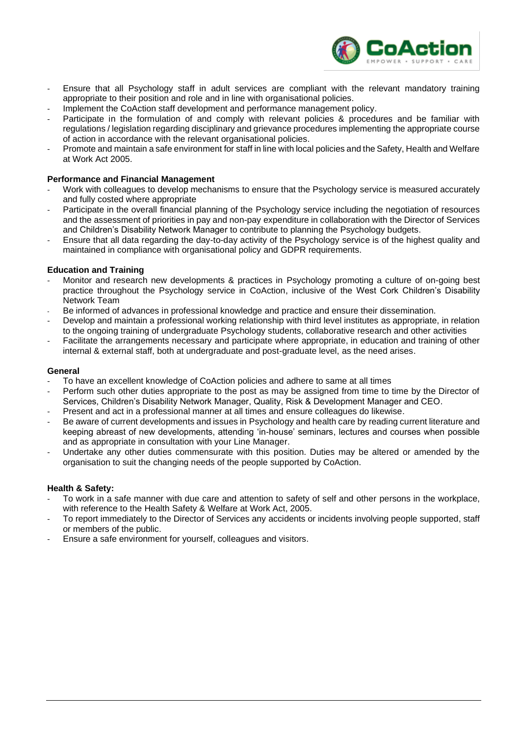

- Ensure that all Psychology staff in adult services are compliant with the relevant mandatory training appropriate to their position and role and in line with organisational policies.
- Implement the CoAction staff development and performance management policy.
- Participate in the formulation of and comply with relevant policies & procedures and be familiar with regulations / legislation regarding disciplinary and grievance procedures implementing the appropriate course of action in accordance with the relevant organisational policies.
- Promote and maintain a safe environment for staff in line with local policies and the Safety, Health and Welfare at Work Act 2005.

#### **Performance and Financial Management**

- Work with colleagues to develop mechanisms to ensure that the Psychology service is measured accurately and fully costed where appropriate
- Participate in the overall financial planning of the Psychology service including the negotiation of resources and the assessment of priorities in pay and non-pay expenditure in collaboration with the Director of Services and Children's Disability Network Manager to contribute to planning the Psychology budgets.
- Ensure that all data regarding the day-to-day activity of the Psychology service is of the highest quality and maintained in compliance with organisational policy and GDPR requirements.

#### **Education and Training**

- Monitor and research new developments & practices in Psychology promoting a culture of on-going best practice throughout the Psychology service in CoAction, inclusive of the West Cork Children's Disability Network Team
- Be informed of advances in professional knowledge and practice and ensure their dissemination.
- Develop and maintain a professional working relationship with third level institutes as appropriate, in relation to the ongoing training of undergraduate Psychology students, collaborative research and other activities
- Facilitate the arrangements necessary and participate where appropriate, in education and training of other internal & external staff, both at undergraduate and post-graduate level, as the need arises.

#### **General**

- To have an excellent knowledge of CoAction policies and adhere to same at all times
- Perform such other duties appropriate to the post as may be assigned from time to time by the Director of Services, Children's Disability Network Manager, Quality, Risk & Development Manager and CEO.
- Present and act in a professional manner at all times and ensure colleagues do likewise.
- Be aware of current developments and issues in Psychology and health care by reading current literature and keeping abreast of new developments, attending 'in-house' seminars, lectures and courses when possible and as appropriate in consultation with your Line Manager.
- Undertake any other duties commensurate with this position. Duties may be altered or amended by the organisation to suit the changing needs of the people supported by CoAction.

#### **Health & Safety:**

- To work in a safe manner with due care and attention to safety of self and other persons in the workplace, with reference to the Health Safety & Welfare at Work Act, 2005.
- To report immediately to the Director of Services any accidents or incidents involving people supported, staff or members of the public.
- Ensure a safe environment for yourself, colleagues and visitors.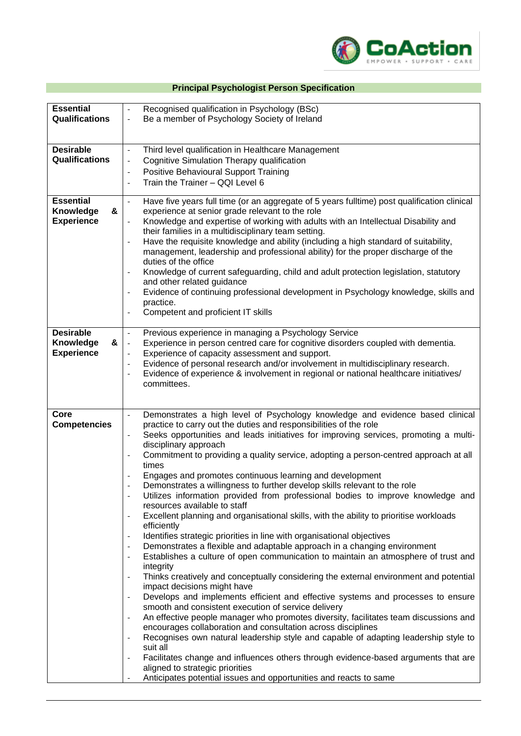

# **Principal Psychologist Person Specification**

| <b>Essential</b><br>Qualifications                      | Recognised qualification in Psychology (BSc)<br>$\blacksquare$<br>Be a member of Psychology Society of Ireland<br>$\overline{\phantom{a}}$                                                                                                                                                                                                                                                                                                                                                                                                                                                                                                                                                                                                                                                                                                                                                                                                                                                                                                                                                                                                                                                                                                                                                                                                                                                                                                                                                                                                                                                                                                                                                                                                                                                                                                                                                                                                                                                        |
|---------------------------------------------------------|---------------------------------------------------------------------------------------------------------------------------------------------------------------------------------------------------------------------------------------------------------------------------------------------------------------------------------------------------------------------------------------------------------------------------------------------------------------------------------------------------------------------------------------------------------------------------------------------------------------------------------------------------------------------------------------------------------------------------------------------------------------------------------------------------------------------------------------------------------------------------------------------------------------------------------------------------------------------------------------------------------------------------------------------------------------------------------------------------------------------------------------------------------------------------------------------------------------------------------------------------------------------------------------------------------------------------------------------------------------------------------------------------------------------------------------------------------------------------------------------------------------------------------------------------------------------------------------------------------------------------------------------------------------------------------------------------------------------------------------------------------------------------------------------------------------------------------------------------------------------------------------------------------------------------------------------------------------------------------------------------|
| <b>Desirable</b><br>Qualifications                      | Third level qualification in Healthcare Management<br>$\overline{\phantom{a}}$<br>Cognitive Simulation Therapy qualification<br>$\overline{\phantom{a}}$<br>Positive Behavioural Support Training<br>$\overline{\phantom{a}}$<br>Train the Trainer - QQI Level 6<br>$\overline{\phantom{a}}$                                                                                                                                                                                                                                                                                                                                                                                                                                                                                                                                                                                                                                                                                                                                                                                                                                                                                                                                                                                                                                                                                                                                                                                                                                                                                                                                                                                                                                                                                                                                                                                                                                                                                                      |
| <b>Essential</b><br>Knowledge<br>&<br><b>Experience</b> | Have five years full time (or an aggregate of 5 years fulltime) post qualification clinical<br>$\omega$<br>experience at senior grade relevant to the role<br>Knowledge and expertise of working with adults with an Intellectual Disability and<br>their families in a multidisciplinary team setting.<br>Have the requisite knowledge and ability (including a high standard of suitability,<br>management, leadership and professional ability) for the proper discharge of the<br>duties of the office<br>Knowledge of current safeguarding, child and adult protection legislation, statutory<br>$\overline{\phantom{a}}$<br>and other related guidance<br>Evidence of continuing professional development in Psychology knowledge, skills and<br>$\overline{\phantom{a}}$<br>practice.<br>Competent and proficient IT skills<br>$\overline{\phantom{a}}$                                                                                                                                                                                                                                                                                                                                                                                                                                                                                                                                                                                                                                                                                                                                                                                                                                                                                                                                                                                                                                                                                                                                    |
| <b>Desirable</b><br>Knowledge<br>&<br><b>Experience</b> | Previous experience in managing a Psychology Service<br>$\blacksquare$<br>Experience in person centred care for cognitive disorders coupled with dementia.<br>$\overline{\phantom{a}}$<br>Experience of capacity assessment and support.<br>$\overline{\phantom{a}}$<br>Evidence of personal research and/or involvement in multidisciplinary research.<br>$\overline{\phantom{a}}$<br>Evidence of experience & involvement in regional or national healthcare initiatives/<br>$\overline{\phantom{a}}$<br>committees.                                                                                                                                                                                                                                                                                                                                                                                                                                                                                                                                                                                                                                                                                                                                                                                                                                                                                                                                                                                                                                                                                                                                                                                                                                                                                                                                                                                                                                                                            |
| Core<br><b>Competencies</b>                             | Demonstrates a high level of Psychology knowledge and evidence based clinical<br>$\overline{\phantom{a}}$<br>practice to carry out the duties and responsibilities of the role<br>Seeks opportunities and leads initiatives for improving services, promoting a multi-<br>$\overline{\phantom{a}}$<br>disciplinary approach<br>Commitment to providing a quality service, adopting a person-centred approach at all<br>$\blacksquare$<br>times<br>Engages and promotes continuous learning and development<br>Demonstrates a willingness to further develop skills relevant to the role<br>Utilizes information provided from professional bodies to improve knowledge and<br>resources available to staff<br>Excellent planning and organisational skills, with the ability to prioritise workloads<br>$\overline{\phantom{a}}$<br>efficiently<br>Identifies strategic priorities in line with organisational objectives<br>$\overline{\phantom{a}}$<br>Demonstrates a flexible and adaptable approach in a changing environment<br>$\overline{\phantom{a}}$<br>Establishes a culture of open communication to maintain an atmosphere of trust and<br>$\overline{\phantom{a}}$<br>integrity<br>Thinks creatively and conceptually considering the external environment and potential<br>impact decisions might have<br>Develops and implements efficient and effective systems and processes to ensure<br>smooth and consistent execution of service delivery<br>An effective people manager who promotes diversity, facilitates team discussions and<br>$\overline{\phantom{a}}$<br>encourages collaboration and consultation across disciplines<br>Recognises own natural leadership style and capable of adapting leadership style to<br>$\overline{\phantom{a}}$<br>suit all<br>Facilitates change and influences others through evidence-based arguments that are<br>$\blacksquare$<br>aligned to strategic priorities<br>Anticipates potential issues and opportunities and reacts to same |